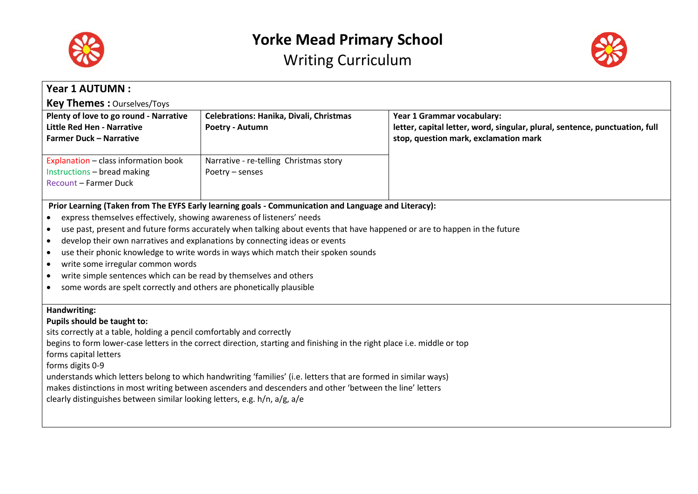



| <b>Year 1 AUTUMN:</b>                                                                                                                                                                                                                                                                                                                                                                                                                                                                                                                                                                                                                                                                                                |                                                            |                                                                                                                                                    |
|----------------------------------------------------------------------------------------------------------------------------------------------------------------------------------------------------------------------------------------------------------------------------------------------------------------------------------------------------------------------------------------------------------------------------------------------------------------------------------------------------------------------------------------------------------------------------------------------------------------------------------------------------------------------------------------------------------------------|------------------------------------------------------------|----------------------------------------------------------------------------------------------------------------------------------------------------|
| <b>Key Themes: Ourselves/Toys</b>                                                                                                                                                                                                                                                                                                                                                                                                                                                                                                                                                                                                                                                                                    |                                                            |                                                                                                                                                    |
| Plenty of love to go round - Narrative<br><b>Little Red Hen - Narrative</b><br><b>Farmer Duck - Narrative</b>                                                                                                                                                                                                                                                                                                                                                                                                                                                                                                                                                                                                        | Celebrations: Hanika, Divali, Christmas<br>Poetry - Autumn | Year 1 Grammar vocabulary:<br>letter, capital letter, word, singular, plural, sentence, punctuation, full<br>stop, question mark, exclamation mark |
| Explanation - class information book<br>Instructions - bread making<br><b>Recount - Farmer Duck</b>                                                                                                                                                                                                                                                                                                                                                                                                                                                                                                                                                                                                                  | Narrative - re-telling Christmas story<br>Poetry - senses  |                                                                                                                                                    |
| Prior Learning (Taken from The EYFS Early learning goals - Communication and Language and Literacy):<br>express themselves effectively, showing awareness of listeners' needs<br>use past, present and future forms accurately when talking about events that have happened or are to happen in the future<br>$\bullet$<br>develop their own narratives and explanations by connecting ideas or events<br>$\bullet$<br>use their phonic knowledge to write words in ways which match their spoken sounds<br>$\bullet$<br>write some irregular common words<br>$\bullet$<br>write simple sentences which can be read by themselves and others<br>some words are spelt correctly and others are phonetically plausible |                                                            |                                                                                                                                                    |
| Handwriting:<br>Pupils should be taught to:<br>sits correctly at a table, holding a pencil comfortably and correctly<br>begins to form lower-case letters in the correct direction, starting and finishing in the right place i.e. middle or top<br>forms capital letters<br>forms digits 0-9<br>understands which letters belong to which handwriting 'families' (i.e. letters that are formed in similar ways)<br>makes distinctions in most writing between ascenders and descenders and other 'between the line' letters<br>clearly distinguishes between similar looking letters, e.g. h/n, a/g, a/e                                                                                                            |                                                            |                                                                                                                                                    |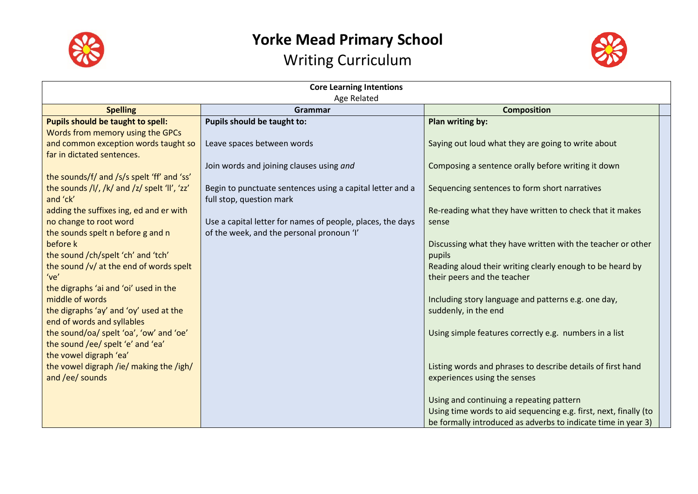

# **Yorke Mead Primary School**





| <b>Core Learning Intentions</b><br>Age Related                       |                                                            |                                                                  |  |
|----------------------------------------------------------------------|------------------------------------------------------------|------------------------------------------------------------------|--|
| <b>Composition</b><br><b>Spelling</b><br>Grammar                     |                                                            |                                                                  |  |
| Pupils should be taught to spell:                                    | Pupils should be taught to:                                | Plan writing by:                                                 |  |
| Words from memory using the GPCs                                     |                                                            |                                                                  |  |
| and common exception words taught so                                 | Leave spaces between words                                 | Saying out loud what they are going to write about               |  |
| far in dictated sentences.                                           |                                                            |                                                                  |  |
|                                                                      | Join words and joining clauses using and                   | Composing a sentence orally before writing it down               |  |
| the sounds/f/ and /s/s spelt 'ff' and 'ss'                           |                                                            |                                                                  |  |
| the sounds /l/, /k/ and /z/ spelt 'll', 'zz'                         | Begin to punctuate sentences using a capital letter and a  | Sequencing sentences to form short narratives                    |  |
| and 'ck'                                                             | full stop, question mark                                   |                                                                  |  |
| adding the suffixes ing, ed and er with                              |                                                            | Re-reading what they have written to check that it makes         |  |
| no change to root word                                               | Use a capital letter for names of people, places, the days | sense                                                            |  |
| the sounds spelt n before g and n                                    | of the week, and the personal pronoun 'I'                  |                                                                  |  |
| before k                                                             |                                                            | Discussing what they have written with the teacher or other      |  |
| the sound /ch/spelt 'ch' and 'tch'                                   |                                                            | pupils                                                           |  |
| the sound /v/ at the end of words spelt                              |                                                            | Reading aloud their writing clearly enough to be heard by        |  |
| 've'                                                                 |                                                            | their peers and the teacher                                      |  |
| the digraphs 'ai and 'oi' used in the<br>middle of words             |                                                            |                                                                  |  |
|                                                                      |                                                            | Including story language and patterns e.g. one day,              |  |
| the digraphs 'ay' and 'oy' used at the<br>end of words and syllables |                                                            | suddenly, in the end                                             |  |
| the sound/oa/ spelt 'oa', 'ow' and 'oe'                              |                                                            | Using simple features correctly e.g. numbers in a list           |  |
| the sound /ee/ spelt 'e' and 'ea'                                    |                                                            |                                                                  |  |
| the vowel digraph 'ea'                                               |                                                            |                                                                  |  |
| the vowel digraph /ie/ making the /igh/                              |                                                            | Listing words and phrases to describe details of first hand      |  |
| and /ee/ sounds                                                      |                                                            | experiences using the senses                                     |  |
|                                                                      |                                                            |                                                                  |  |
|                                                                      |                                                            | Using and continuing a repeating pattern                         |  |
|                                                                      |                                                            | Using time words to aid sequencing e.g. first, next, finally (to |  |
|                                                                      |                                                            | be formally introduced as adverbs to indicate time in year 3)    |  |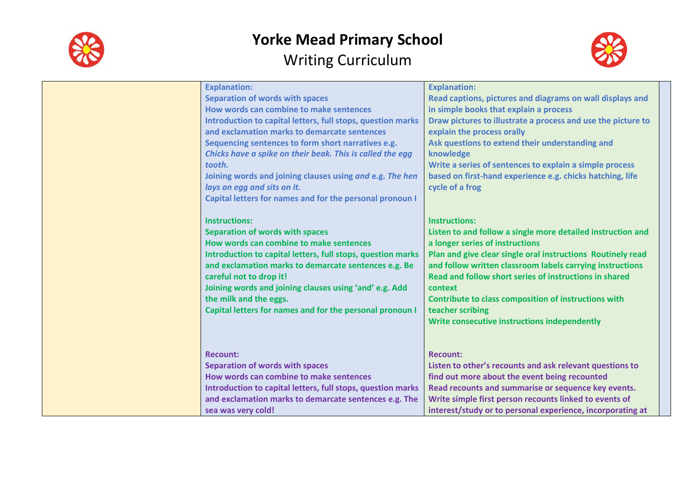



| <b>Explanation:</b><br><b>Explanation:</b><br><b>Separation of words with spaces</b><br>Read captions, pictures and diagrams on wall displays and<br>How words can combine to make sentences<br>in simple books that explain a process<br>Draw pictures to illustrate a process and use the picture to<br>Introduction to capital letters, full stops, question marks<br>and exclamation marks to demarcate sentences<br>explain the process orally<br>Sequencing sentences to form short narratives e.g.<br>Ask questions to extend their understanding and<br>Chicks have a spike on their beak. This is called the egg<br>knowledge<br>Write a series of sentences to explain a simple process<br>tooth.<br>Joining words and joining clauses using and e.g. The hen<br>based on first-hand experience e.g. chicks hatching, life<br>lays an egg and sits on it.<br>cycle of a frog<br>Capital letters for names and for the personal pronoun I<br><b>Instructions:</b><br><b>Instructions:</b><br><b>Separation of words with spaces</b><br>Listen to and follow a single more detailed instruction and<br>How words can combine to make sentences<br>a longer series of instructions<br>Plan and give clear single oral instructions Routinely read<br>Introduction to capital letters, full stops, question marks<br>and exclamation marks to demarcate sentences e.g. Be<br>and follow written classroom labels carrying instructions<br>careful not to drop it!<br>Read and follow short series of instructions in shared<br>Joining words and joining clauses using 'and' e.g. Add<br>context<br>the milk and the eggs.<br>Contribute to class composition of instructions with<br>Capital letters for names and for the personal pronoun I<br>teacher scribing<br>Write consecutive instructions independently<br><b>Recount:</b><br><b>Recount:</b><br><b>Separation of words with spaces</b><br>Listen to other's recounts and ask relevant questions to<br>How words can combine to make sentences<br>find out more about the event being recounted<br>Introduction to capital letters, full stops, question marks<br>Read recounts and summarise or sequence key events.<br>and exclamation marks to demarcate sentences e.g. The<br>Write simple first person recounts linked to events of<br>interest/study or to personal experience, incorporating at<br>sea was very cold! |  |  |
|-----------------------------------------------------------------------------------------------------------------------------------------------------------------------------------------------------------------------------------------------------------------------------------------------------------------------------------------------------------------------------------------------------------------------------------------------------------------------------------------------------------------------------------------------------------------------------------------------------------------------------------------------------------------------------------------------------------------------------------------------------------------------------------------------------------------------------------------------------------------------------------------------------------------------------------------------------------------------------------------------------------------------------------------------------------------------------------------------------------------------------------------------------------------------------------------------------------------------------------------------------------------------------------------------------------------------------------------------------------------------------------------------------------------------------------------------------------------------------------------------------------------------------------------------------------------------------------------------------------------------------------------------------------------------------------------------------------------------------------------------------------------------------------------------------------------------------------------------------------------------------------------------------------------------------------------------------------------------------------------------------------------------------------------------------------------------------------------------------------------------------------------------------------------------------------------------------------------------------------------------------------------------------------------------------------------------------------------------------------------------------------------------|--|--|
|                                                                                                                                                                                                                                                                                                                                                                                                                                                                                                                                                                                                                                                                                                                                                                                                                                                                                                                                                                                                                                                                                                                                                                                                                                                                                                                                                                                                                                                                                                                                                                                                                                                                                                                                                                                                                                                                                                                                                                                                                                                                                                                                                                                                                                                                                                                                                                                               |  |  |
|                                                                                                                                                                                                                                                                                                                                                                                                                                                                                                                                                                                                                                                                                                                                                                                                                                                                                                                                                                                                                                                                                                                                                                                                                                                                                                                                                                                                                                                                                                                                                                                                                                                                                                                                                                                                                                                                                                                                                                                                                                                                                                                                                                                                                                                                                                                                                                                               |  |  |
|                                                                                                                                                                                                                                                                                                                                                                                                                                                                                                                                                                                                                                                                                                                                                                                                                                                                                                                                                                                                                                                                                                                                                                                                                                                                                                                                                                                                                                                                                                                                                                                                                                                                                                                                                                                                                                                                                                                                                                                                                                                                                                                                                                                                                                                                                                                                                                                               |  |  |
|                                                                                                                                                                                                                                                                                                                                                                                                                                                                                                                                                                                                                                                                                                                                                                                                                                                                                                                                                                                                                                                                                                                                                                                                                                                                                                                                                                                                                                                                                                                                                                                                                                                                                                                                                                                                                                                                                                                                                                                                                                                                                                                                                                                                                                                                                                                                                                                               |  |  |
|                                                                                                                                                                                                                                                                                                                                                                                                                                                                                                                                                                                                                                                                                                                                                                                                                                                                                                                                                                                                                                                                                                                                                                                                                                                                                                                                                                                                                                                                                                                                                                                                                                                                                                                                                                                                                                                                                                                                                                                                                                                                                                                                                                                                                                                                                                                                                                                               |  |  |
|                                                                                                                                                                                                                                                                                                                                                                                                                                                                                                                                                                                                                                                                                                                                                                                                                                                                                                                                                                                                                                                                                                                                                                                                                                                                                                                                                                                                                                                                                                                                                                                                                                                                                                                                                                                                                                                                                                                                                                                                                                                                                                                                                                                                                                                                                                                                                                                               |  |  |
|                                                                                                                                                                                                                                                                                                                                                                                                                                                                                                                                                                                                                                                                                                                                                                                                                                                                                                                                                                                                                                                                                                                                                                                                                                                                                                                                                                                                                                                                                                                                                                                                                                                                                                                                                                                                                                                                                                                                                                                                                                                                                                                                                                                                                                                                                                                                                                                               |  |  |
|                                                                                                                                                                                                                                                                                                                                                                                                                                                                                                                                                                                                                                                                                                                                                                                                                                                                                                                                                                                                                                                                                                                                                                                                                                                                                                                                                                                                                                                                                                                                                                                                                                                                                                                                                                                                                                                                                                                                                                                                                                                                                                                                                                                                                                                                                                                                                                                               |  |  |
|                                                                                                                                                                                                                                                                                                                                                                                                                                                                                                                                                                                                                                                                                                                                                                                                                                                                                                                                                                                                                                                                                                                                                                                                                                                                                                                                                                                                                                                                                                                                                                                                                                                                                                                                                                                                                                                                                                                                                                                                                                                                                                                                                                                                                                                                                                                                                                                               |  |  |
|                                                                                                                                                                                                                                                                                                                                                                                                                                                                                                                                                                                                                                                                                                                                                                                                                                                                                                                                                                                                                                                                                                                                                                                                                                                                                                                                                                                                                                                                                                                                                                                                                                                                                                                                                                                                                                                                                                                                                                                                                                                                                                                                                                                                                                                                                                                                                                                               |  |  |
|                                                                                                                                                                                                                                                                                                                                                                                                                                                                                                                                                                                                                                                                                                                                                                                                                                                                                                                                                                                                                                                                                                                                                                                                                                                                                                                                                                                                                                                                                                                                                                                                                                                                                                                                                                                                                                                                                                                                                                                                                                                                                                                                                                                                                                                                                                                                                                                               |  |  |
|                                                                                                                                                                                                                                                                                                                                                                                                                                                                                                                                                                                                                                                                                                                                                                                                                                                                                                                                                                                                                                                                                                                                                                                                                                                                                                                                                                                                                                                                                                                                                                                                                                                                                                                                                                                                                                                                                                                                                                                                                                                                                                                                                                                                                                                                                                                                                                                               |  |  |
|                                                                                                                                                                                                                                                                                                                                                                                                                                                                                                                                                                                                                                                                                                                                                                                                                                                                                                                                                                                                                                                                                                                                                                                                                                                                                                                                                                                                                                                                                                                                                                                                                                                                                                                                                                                                                                                                                                                                                                                                                                                                                                                                                                                                                                                                                                                                                                                               |  |  |
|                                                                                                                                                                                                                                                                                                                                                                                                                                                                                                                                                                                                                                                                                                                                                                                                                                                                                                                                                                                                                                                                                                                                                                                                                                                                                                                                                                                                                                                                                                                                                                                                                                                                                                                                                                                                                                                                                                                                                                                                                                                                                                                                                                                                                                                                                                                                                                                               |  |  |
|                                                                                                                                                                                                                                                                                                                                                                                                                                                                                                                                                                                                                                                                                                                                                                                                                                                                                                                                                                                                                                                                                                                                                                                                                                                                                                                                                                                                                                                                                                                                                                                                                                                                                                                                                                                                                                                                                                                                                                                                                                                                                                                                                                                                                                                                                                                                                                                               |  |  |
|                                                                                                                                                                                                                                                                                                                                                                                                                                                                                                                                                                                                                                                                                                                                                                                                                                                                                                                                                                                                                                                                                                                                                                                                                                                                                                                                                                                                                                                                                                                                                                                                                                                                                                                                                                                                                                                                                                                                                                                                                                                                                                                                                                                                                                                                                                                                                                                               |  |  |
|                                                                                                                                                                                                                                                                                                                                                                                                                                                                                                                                                                                                                                                                                                                                                                                                                                                                                                                                                                                                                                                                                                                                                                                                                                                                                                                                                                                                                                                                                                                                                                                                                                                                                                                                                                                                                                                                                                                                                                                                                                                                                                                                                                                                                                                                                                                                                                                               |  |  |
|                                                                                                                                                                                                                                                                                                                                                                                                                                                                                                                                                                                                                                                                                                                                                                                                                                                                                                                                                                                                                                                                                                                                                                                                                                                                                                                                                                                                                                                                                                                                                                                                                                                                                                                                                                                                                                                                                                                                                                                                                                                                                                                                                                                                                                                                                                                                                                                               |  |  |
|                                                                                                                                                                                                                                                                                                                                                                                                                                                                                                                                                                                                                                                                                                                                                                                                                                                                                                                                                                                                                                                                                                                                                                                                                                                                                                                                                                                                                                                                                                                                                                                                                                                                                                                                                                                                                                                                                                                                                                                                                                                                                                                                                                                                                                                                                                                                                                                               |  |  |
|                                                                                                                                                                                                                                                                                                                                                                                                                                                                                                                                                                                                                                                                                                                                                                                                                                                                                                                                                                                                                                                                                                                                                                                                                                                                                                                                                                                                                                                                                                                                                                                                                                                                                                                                                                                                                                                                                                                                                                                                                                                                                                                                                                                                                                                                                                                                                                                               |  |  |
|                                                                                                                                                                                                                                                                                                                                                                                                                                                                                                                                                                                                                                                                                                                                                                                                                                                                                                                                                                                                                                                                                                                                                                                                                                                                                                                                                                                                                                                                                                                                                                                                                                                                                                                                                                                                                                                                                                                                                                                                                                                                                                                                                                                                                                                                                                                                                                                               |  |  |
|                                                                                                                                                                                                                                                                                                                                                                                                                                                                                                                                                                                                                                                                                                                                                                                                                                                                                                                                                                                                                                                                                                                                                                                                                                                                                                                                                                                                                                                                                                                                                                                                                                                                                                                                                                                                                                                                                                                                                                                                                                                                                                                                                                                                                                                                                                                                                                                               |  |  |
|                                                                                                                                                                                                                                                                                                                                                                                                                                                                                                                                                                                                                                                                                                                                                                                                                                                                                                                                                                                                                                                                                                                                                                                                                                                                                                                                                                                                                                                                                                                                                                                                                                                                                                                                                                                                                                                                                                                                                                                                                                                                                                                                                                                                                                                                                                                                                                                               |  |  |
|                                                                                                                                                                                                                                                                                                                                                                                                                                                                                                                                                                                                                                                                                                                                                                                                                                                                                                                                                                                                                                                                                                                                                                                                                                                                                                                                                                                                                                                                                                                                                                                                                                                                                                                                                                                                                                                                                                                                                                                                                                                                                                                                                                                                                                                                                                                                                                                               |  |  |
|                                                                                                                                                                                                                                                                                                                                                                                                                                                                                                                                                                                                                                                                                                                                                                                                                                                                                                                                                                                                                                                                                                                                                                                                                                                                                                                                                                                                                                                                                                                                                                                                                                                                                                                                                                                                                                                                                                                                                                                                                                                                                                                                                                                                                                                                                                                                                                                               |  |  |
|                                                                                                                                                                                                                                                                                                                                                                                                                                                                                                                                                                                                                                                                                                                                                                                                                                                                                                                                                                                                                                                                                                                                                                                                                                                                                                                                                                                                                                                                                                                                                                                                                                                                                                                                                                                                                                                                                                                                                                                                                                                                                                                                                                                                                                                                                                                                                                                               |  |  |
|                                                                                                                                                                                                                                                                                                                                                                                                                                                                                                                                                                                                                                                                                                                                                                                                                                                                                                                                                                                                                                                                                                                                                                                                                                                                                                                                                                                                                                                                                                                                                                                                                                                                                                                                                                                                                                                                                                                                                                                                                                                                                                                                                                                                                                                                                                                                                                                               |  |  |
|                                                                                                                                                                                                                                                                                                                                                                                                                                                                                                                                                                                                                                                                                                                                                                                                                                                                                                                                                                                                                                                                                                                                                                                                                                                                                                                                                                                                                                                                                                                                                                                                                                                                                                                                                                                                                                                                                                                                                                                                                                                                                                                                                                                                                                                                                                                                                                                               |  |  |
|                                                                                                                                                                                                                                                                                                                                                                                                                                                                                                                                                                                                                                                                                                                                                                                                                                                                                                                                                                                                                                                                                                                                                                                                                                                                                                                                                                                                                                                                                                                                                                                                                                                                                                                                                                                                                                                                                                                                                                                                                                                                                                                                                                                                                                                                                                                                                                                               |  |  |
|                                                                                                                                                                                                                                                                                                                                                                                                                                                                                                                                                                                                                                                                                                                                                                                                                                                                                                                                                                                                                                                                                                                                                                                                                                                                                                                                                                                                                                                                                                                                                                                                                                                                                                                                                                                                                                                                                                                                                                                                                                                                                                                                                                                                                                                                                                                                                                                               |  |  |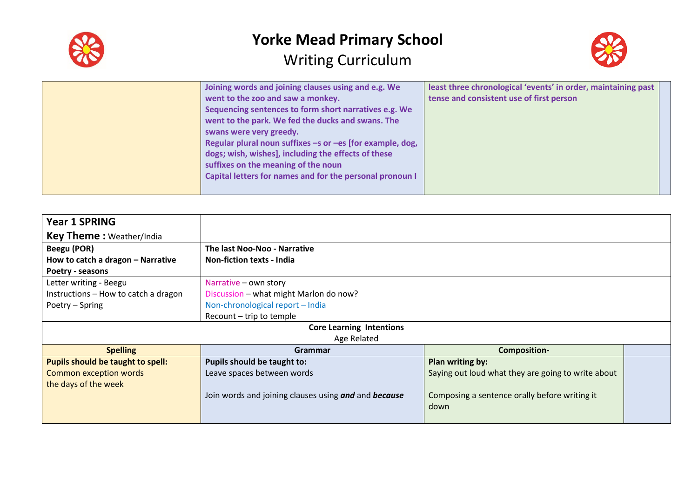



| Joining words and joining clauses using and e.g. We<br>went to the zoo and saw a monkey.<br>Sequencing sentences to form short narratives e.g. We<br>went to the park. We fed the ducks and swans. The<br>swans were very greedy.<br>Regular plural noun suffixes -s or -es [for example, dog,<br>dogs; wish, wishes], including the effects of these<br>suffixes on the meaning of the noun<br>Capital letters for names and for the personal pronoun I | least three chronological 'events' in order, maintaining past<br>tense and consistent use of first person |
|----------------------------------------------------------------------------------------------------------------------------------------------------------------------------------------------------------------------------------------------------------------------------------------------------------------------------------------------------------------------------------------------------------------------------------------------------------|-----------------------------------------------------------------------------------------------------------|
|----------------------------------------------------------------------------------------------------------------------------------------------------------------------------------------------------------------------------------------------------------------------------------------------------------------------------------------------------------------------------------------------------------------------------------------------------------|-----------------------------------------------------------------------------------------------------------|

| <b>Year 1 SPRING</b>                 |                                                      |                                                    |  |
|--------------------------------------|------------------------------------------------------|----------------------------------------------------|--|
| <b>Key Theme: Weather/India</b>      |                                                      |                                                    |  |
| Beegu (POR)                          | The last Noo-Noo - Narrative                         |                                                    |  |
| How to catch a dragon - Narrative    | <b>Non-fiction texts - India</b>                     |                                                    |  |
| Poetry - seasons                     |                                                      |                                                    |  |
| Letter writing - Beegu               | Narrative - own story                                |                                                    |  |
| Instructions - How to catch a dragon | Discussion - what might Marlon do now?               |                                                    |  |
| Poetry – Spring                      | Non-chronological report - India                     |                                                    |  |
|                                      | Recount - trip to temple                             |                                                    |  |
|                                      | <b>Core Learning Intentions</b>                      |                                                    |  |
|                                      | Age Related                                          |                                                    |  |
| <b>Spelling</b>                      | Grammar                                              | <b>Composition-</b>                                |  |
| Pupils should be taught to spell:    | Pupils should be taught to:                          | Plan writing by:                                   |  |
| <b>Common exception words</b>        | Leave spaces between words                           | Saying out loud what they are going to write about |  |
| the days of the week                 |                                                      |                                                    |  |
|                                      | Join words and joining clauses using and and because | Composing a sentence orally before writing it      |  |
|                                      |                                                      | down                                               |  |
|                                      |                                                      |                                                    |  |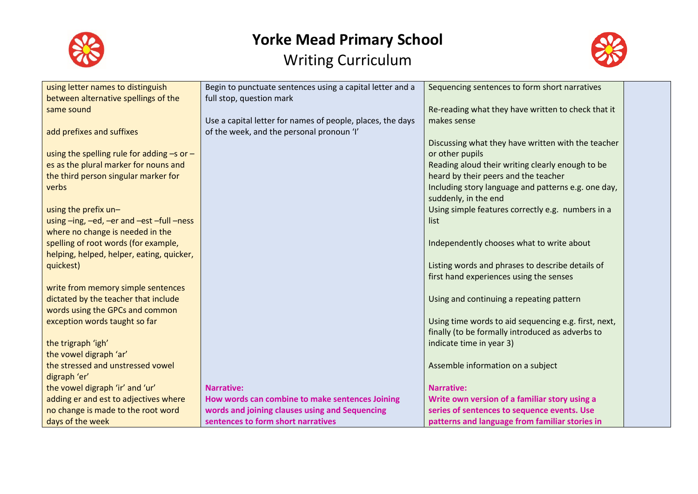



| using letter names to distinguish              | Begin to punctuate sentences using a capital letter and a  | Sequencing sentences to form short narratives        |  |
|------------------------------------------------|------------------------------------------------------------|------------------------------------------------------|--|
| between alternative spellings of the           | full stop, question mark                                   |                                                      |  |
| same sound                                     |                                                            | Re-reading what they have written to check that it   |  |
|                                                | Use a capital letter for names of people, places, the days | makes sense                                          |  |
| add prefixes and suffixes                      | of the week, and the personal pronoun 'I'                  |                                                      |  |
|                                                |                                                            | Discussing what they have written with the teacher   |  |
| using the spelling rule for adding $-s$ or $-$ |                                                            | or other pupils                                      |  |
| es as the plural marker for nouns and          |                                                            | Reading aloud their writing clearly enough to be     |  |
| the third person singular marker for           |                                                            | heard by their peers and the teacher                 |  |
| verbs                                          |                                                            | Including story language and patterns e.g. one day,  |  |
|                                                |                                                            | suddenly, in the end                                 |  |
| using the prefix un-                           |                                                            | Using simple features correctly e.g. numbers in a    |  |
| using -ing, -ed, -er and -est -full -ness      |                                                            | list                                                 |  |
| where no change is needed in the               |                                                            |                                                      |  |
| spelling of root words (for example,           |                                                            | Independently chooses what to write about            |  |
| helping, helped, helper, eating, quicker,      |                                                            |                                                      |  |
| quickest)                                      |                                                            | Listing words and phrases to describe details of     |  |
|                                                |                                                            | first hand experiences using the senses              |  |
| write from memory simple sentences             |                                                            |                                                      |  |
| dictated by the teacher that include           |                                                            | Using and continuing a repeating pattern             |  |
| words using the GPCs and common                |                                                            |                                                      |  |
| exception words taught so far                  |                                                            | Using time words to aid sequencing e.g. first, next, |  |
|                                                |                                                            | finally (to be formally introduced as adverbs to     |  |
| the trigraph 'igh'                             |                                                            | indicate time in year 3)                             |  |
| the vowel digraph 'ar'                         |                                                            |                                                      |  |
| the stressed and unstressed vowel              |                                                            | Assemble information on a subject                    |  |
| digraph 'er'                                   |                                                            |                                                      |  |
| the vowel digraph 'ir' and 'ur'                | <b>Narrative:</b>                                          | <b>Narrative:</b>                                    |  |
| adding er and est to adjectives where          | How words can combine to make sentences Joining            | Write own version of a familiar story using a        |  |
| no change is made to the root word             | words and joining clauses using and Sequencing             | series of sentences to sequence events. Use          |  |
| days of the week                               | sentences to form short narratives                         | patterns and language from familiar stories in       |  |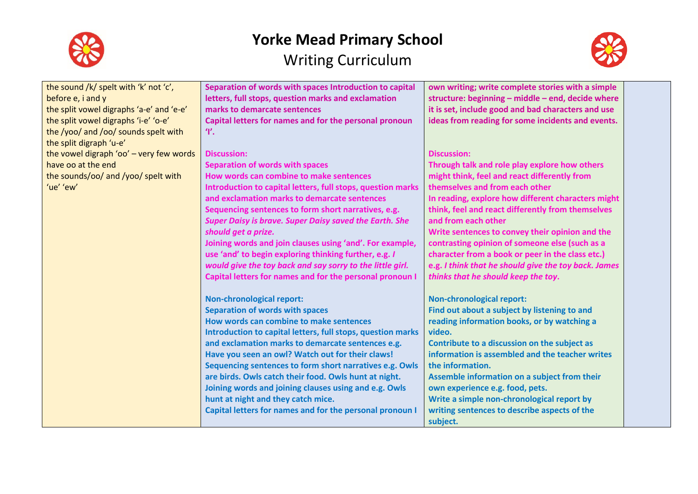



| the sound /k/ spelt with 'k' not 'c',    | Separation of words with spaces Introduction to capital       |                                                      |  |
|------------------------------------------|---------------------------------------------------------------|------------------------------------------------------|--|
|                                          |                                                               | own writing; write complete stories with a simple    |  |
| before e, i and y                        | letters, full stops, question marks and exclamation           | structure: beginning - middle - end, decide where    |  |
| the split vowel digraphs 'a-e' and 'e-e' | marks to demarcate sentences                                  | it is set, include good and bad characters and use   |  |
| the split vowel digraphs 'i-e' 'o-e'     | Capital letters for names and for the personal pronoun        | ideas from reading for some incidents and events.    |  |
| the /yoo/ and /oo/ sounds spelt with     | Ψ.                                                            |                                                      |  |
| the split digraph 'u-e'                  |                                                               |                                                      |  |
| the vowel digraph 'oo' - very few words  | <b>Discussion:</b>                                            | <b>Discussion:</b>                                   |  |
| have oo at the end                       | <b>Separation of words with spaces</b>                        | Through talk and role play explore how others        |  |
| the sounds/oo/ and /yoo/ spelt with      | How words can combine to make sentences                       | might think, feel and react differently from         |  |
| 'ue' 'ew'                                | Introduction to capital letters, full stops, question marks   | themselves and from each other                       |  |
|                                          | and exclamation marks to demarcate sentences                  | In reading, explore how different characters might   |  |
|                                          | Sequencing sentences to form short narratives, e.g.           | think, feel and react differently from themselves    |  |
|                                          | <b>Super Daisy is brave. Super Daisy saved the Earth. She</b> | and from each other                                  |  |
|                                          | should get a prize.                                           | Write sentences to convey their opinion and the      |  |
|                                          | Joining words and join clauses using 'and'. For example,      | contrasting opinion of someone else (such as a       |  |
|                                          |                                                               |                                                      |  |
|                                          | use 'and' to begin exploring thinking further, e.g. I         | character from a book or peer in the class etc.)     |  |
|                                          | would give the toy back and say sorry to the little girl.     | e.g. I think that he should give the toy back. James |  |
|                                          | Capital letters for names and for the personal pronoun I      | thinks that he should keep the toy.                  |  |
|                                          | <b>Non-chronological report:</b>                              | <b>Non-chronological report:</b>                     |  |
|                                          | <b>Separation of words with spaces</b>                        | Find out about a subject by listening to and         |  |
|                                          | How words can combine to make sentences                       | reading information books, or by watching a          |  |
|                                          | Introduction to capital letters, full stops, question marks   | video.                                               |  |
|                                          | and exclamation marks to demarcate sentences e.g.             | Contribute to a discussion on the subject as         |  |
|                                          | Have you seen an owl? Watch out for their claws!              | information is assembled and the teacher writes      |  |
|                                          | Sequencing sentences to form short narratives e.g. Owls       | the information.                                     |  |
|                                          |                                                               |                                                      |  |
|                                          | are birds. Owls catch their food. Owls hunt at night.         | Assemble information on a subject from their         |  |
|                                          | Joining words and joining clauses using and e.g. Owls         | own experience e.g. food, pets.                      |  |
|                                          | hunt at night and they catch mice.                            | Write a simple non-chronological report by           |  |
|                                          | Capital letters for names and for the personal pronoun I      | writing sentences to describe aspects of the         |  |
|                                          |                                                               | subject.                                             |  |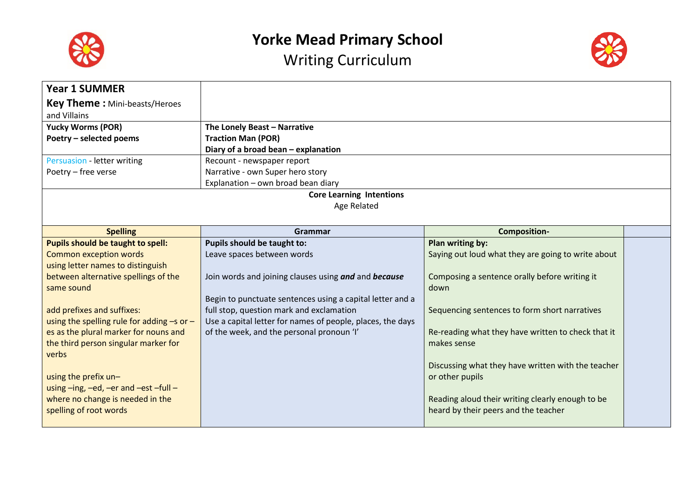

Writing Curriculum



| <b>Year 1 SUMMER</b>                                       |                                                            |                                                                                          |  |
|------------------------------------------------------------|------------------------------------------------------------|------------------------------------------------------------------------------------------|--|
| <b>Key Theme:</b> Mini-beasts/Heroes                       |                                                            |                                                                                          |  |
| and Villains                                               |                                                            |                                                                                          |  |
| <b>Yucky Worms (POR)</b>                                   | The Lonely Beast - Narrative                               |                                                                                          |  |
| Poetry - selected poems                                    | <b>Traction Man (POR)</b>                                  |                                                                                          |  |
|                                                            | Diary of a broad bean - explanation                        |                                                                                          |  |
| Persuasion - letter writing                                | Recount - newspaper report                                 |                                                                                          |  |
| Poetry - free verse                                        | Narrative - own Super hero story                           |                                                                                          |  |
|                                                            | Explanation - own broad bean diary                         |                                                                                          |  |
|                                                            | <b>Core Learning Intentions</b>                            |                                                                                          |  |
|                                                            | Age Related                                                |                                                                                          |  |
|                                                            |                                                            |                                                                                          |  |
| <b>Spelling</b>                                            | Grammar                                                    | <b>Composition-</b>                                                                      |  |
| Pupils should be taught to spell:                          | Pupils should be taught to:                                | Plan writing by:                                                                         |  |
| <b>Common exception words</b>                              | Leave spaces between words                                 | Saying out loud what they are going to write about                                       |  |
| using letter names to distinguish                          |                                                            |                                                                                          |  |
| between alternative spellings of the                       | Join words and joining clauses using and and because       | Composing a sentence orally before writing it                                            |  |
| same sound                                                 |                                                            | down                                                                                     |  |
|                                                            | Begin to punctuate sentences using a capital letter and a  |                                                                                          |  |
| add prefixes and suffixes:                                 | full stop, question mark and exclamation                   | Sequencing sentences to form short narratives                                            |  |
| using the spelling rule for adding $-s$ or $-$             | Use a capital letter for names of people, places, the days |                                                                                          |  |
| es as the plural marker for nouns and                      | of the week, and the personal pronoun 'I'                  | Re-reading what they have written to check that it                                       |  |
| the third person singular marker for                       |                                                            | makes sense                                                                              |  |
| verbs                                                      |                                                            |                                                                                          |  |
|                                                            |                                                            | Discussing what they have written with the teacher                                       |  |
| using the prefix un-                                       |                                                            | or other pupils                                                                          |  |
| using -ing, -ed, -er and -est -full -                      |                                                            |                                                                                          |  |
| where no change is needed in the<br>spelling of root words |                                                            | Reading aloud their writing clearly enough to be<br>heard by their peers and the teacher |  |
|                                                            |                                                            |                                                                                          |  |
|                                                            |                                                            |                                                                                          |  |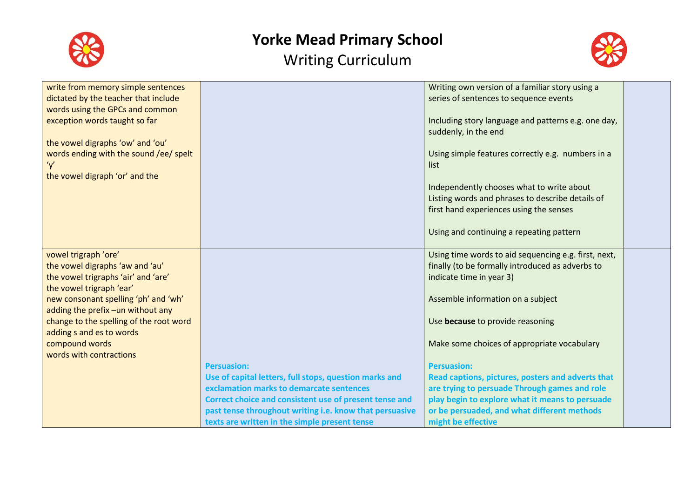



| write from memory simple sentences      |                                                         | Writing own version of a familiar story using a      |  |
|-----------------------------------------|---------------------------------------------------------|------------------------------------------------------|--|
| dictated by the teacher that include    |                                                         | series of sentences to sequence events               |  |
| words using the GPCs and common         |                                                         |                                                      |  |
| exception words taught so far           |                                                         | Including story language and patterns e.g. one day,  |  |
|                                         |                                                         | suddenly, in the end                                 |  |
| the vowel digraphs 'ow' and 'ou'        |                                                         |                                                      |  |
| words ending with the sound /ee/ spelt  |                                                         | Using simple features correctly e.g. numbers in a    |  |
| y'                                      |                                                         | list                                                 |  |
| the vowel digraph 'or' and the          |                                                         |                                                      |  |
|                                         |                                                         | Independently chooses what to write about            |  |
|                                         |                                                         | Listing words and phrases to describe details of     |  |
|                                         |                                                         | first hand experiences using the senses              |  |
|                                         |                                                         |                                                      |  |
|                                         |                                                         | Using and continuing a repeating pattern             |  |
| vowel trigraph 'ore'                    |                                                         | Using time words to aid sequencing e.g. first, next, |  |
| the vowel digraphs 'aw and 'au'         |                                                         | finally (to be formally introduced as adverbs to     |  |
| the vowel trigraphs 'air' and 'are'     |                                                         | indicate time in year 3)                             |  |
| the vowel trigraph 'ear'                |                                                         |                                                      |  |
| new consonant spelling 'ph' and 'wh'    |                                                         | Assemble information on a subject                    |  |
| adding the prefix -un without any       |                                                         |                                                      |  |
| change to the spelling of the root word |                                                         | Use because to provide reasoning                     |  |
| adding s and es to words                |                                                         |                                                      |  |
| compound words                          |                                                         | Make some choices of appropriate vocabulary          |  |
| words with contractions                 |                                                         |                                                      |  |
|                                         | <b>Persuasion:</b>                                      | <b>Persuasion:</b>                                   |  |
|                                         | Use of capital letters, full stops, question marks and  | Read captions, pictures, posters and adverts that    |  |
|                                         | exclamation marks to demarcate sentences                | are trying to persuade Through games and role        |  |
|                                         | Correct choice and consistent use of present tense and  | play begin to explore what it means to persuade      |  |
|                                         | past tense throughout writing i.e. know that persuasive | or be persuaded, and what different methods          |  |
|                                         | texts are written in the simple present tense           | might be effective                                   |  |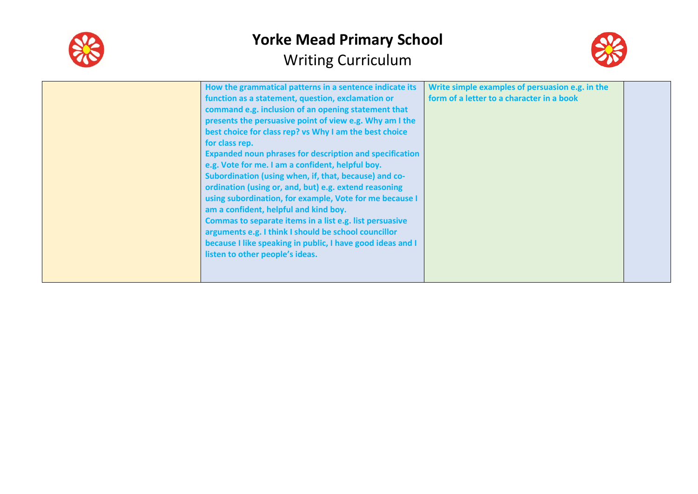



| for class rep. | How the grammatical patterns in a sentence indicate its<br>function as a statement, question, exclamation or<br>command e.g. inclusion of an opening statement that<br>presents the persuasive point of view e.g. Why am I the<br>best choice for class rep? vs Why I am the best choice<br><b>Expanded noun phrases for description and specification</b><br>e.g. Vote for me. I am a confident, helpful boy.<br>Subordination (using when, if, that, because) and co-<br>ordination (using or, and, but) e.g. extend reasoning<br>using subordination, for example, Vote for me because I<br>am a confident, helpful and kind boy.<br>Commas to separate items in a list e.g. list persuasive<br>arguments e.g. I think I should be school councillor<br>because I like speaking in public, I have good ideas and I<br>listen to other people's ideas. | Write simple examples of persuasion e.g. in the<br>form of a letter to a character in a book |  |
|----------------|----------------------------------------------------------------------------------------------------------------------------------------------------------------------------------------------------------------------------------------------------------------------------------------------------------------------------------------------------------------------------------------------------------------------------------------------------------------------------------------------------------------------------------------------------------------------------------------------------------------------------------------------------------------------------------------------------------------------------------------------------------------------------------------------------------------------------------------------------------|----------------------------------------------------------------------------------------------|--|
|----------------|----------------------------------------------------------------------------------------------------------------------------------------------------------------------------------------------------------------------------------------------------------------------------------------------------------------------------------------------------------------------------------------------------------------------------------------------------------------------------------------------------------------------------------------------------------------------------------------------------------------------------------------------------------------------------------------------------------------------------------------------------------------------------------------------------------------------------------------------------------|----------------------------------------------------------------------------------------------|--|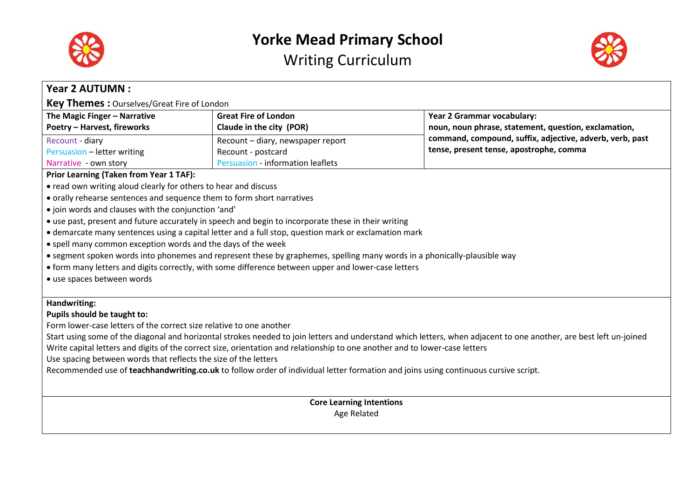



| <b>Year 2 AUTUMN:</b>                                                                               |                                                                                                                                     |                                                                                                                                                                    |  |
|-----------------------------------------------------------------------------------------------------|-------------------------------------------------------------------------------------------------------------------------------------|--------------------------------------------------------------------------------------------------------------------------------------------------------------------|--|
| Key Themes: Ourselves/Great Fire of London                                                          |                                                                                                                                     |                                                                                                                                                                    |  |
| The Magic Finger - Narrative                                                                        | <b>Great Fire of London</b>                                                                                                         | Year 2 Grammar vocabulary:                                                                                                                                         |  |
| <b>Poetry - Harvest, fireworks</b>                                                                  | Claude in the city (POR)                                                                                                            | noun, noun phrase, statement, question, exclamation,                                                                                                               |  |
| Recount - diary                                                                                     | Recount - diary, newspaper report                                                                                                   | command, compound, suffix, adjective, adverb, verb, past                                                                                                           |  |
| Persuasion - letter writing                                                                         | Recount - postcard                                                                                                                  | tense, present tense, apostrophe, comma                                                                                                                            |  |
| Narrative - own story                                                                               | Persuasion - information leaflets                                                                                                   |                                                                                                                                                                    |  |
| <b>Prior Learning (Taken from Year 1 TAF):</b>                                                      |                                                                                                                                     |                                                                                                                                                                    |  |
| • read own writing aloud clearly for others to hear and discuss                                     |                                                                                                                                     |                                                                                                                                                                    |  |
| • orally rehearse sentences and sequence them to form short narratives                              |                                                                                                                                     |                                                                                                                                                                    |  |
| • join words and clauses with the conjunction 'and'                                                 |                                                                                                                                     |                                                                                                                                                                    |  |
|                                                                                                     | • use past, present and future accurately in speech and begin to incorporate these in their writing                                 |                                                                                                                                                                    |  |
|                                                                                                     | • demarcate many sentences using a capital letter and a full stop, question mark or exclamation mark                                |                                                                                                                                                                    |  |
| • spell many common exception words and the days of the week                                        |                                                                                                                                     |                                                                                                                                                                    |  |
|                                                                                                     | • segment spoken words into phonemes and represent these by graphemes, spelling many words in a phonically-plausible way            |                                                                                                                                                                    |  |
| • form many letters and digits correctly, with some difference between upper and lower-case letters |                                                                                                                                     |                                                                                                                                                                    |  |
| · use spaces between words                                                                          |                                                                                                                                     |                                                                                                                                                                    |  |
|                                                                                                     |                                                                                                                                     |                                                                                                                                                                    |  |
| Handwriting:                                                                                        |                                                                                                                                     |                                                                                                                                                                    |  |
| Pupils should be taught to:                                                                         |                                                                                                                                     |                                                                                                                                                                    |  |
| Form lower-case letters of the correct size relative to one another                                 |                                                                                                                                     |                                                                                                                                                                    |  |
|                                                                                                     |                                                                                                                                     | Start using some of the diagonal and horizontal strokes needed to join letters and understand which letters, when adjacent to one another, are best left un-joined |  |
|                                                                                                     | Write capital letters and digits of the correct size, orientation and relationship to one another and to lower-case letters         |                                                                                                                                                                    |  |
| Use spacing between words that reflects the size of the letters                                     |                                                                                                                                     |                                                                                                                                                                    |  |
|                                                                                                     | Recommended use of teachhandwriting.co.uk to follow order of individual letter formation and joins using continuous cursive script. |                                                                                                                                                                    |  |
|                                                                                                     |                                                                                                                                     |                                                                                                                                                                    |  |
|                                                                                                     | <b>Core Learning Intentions</b>                                                                                                     |                                                                                                                                                                    |  |
|                                                                                                     | Age Related                                                                                                                         |                                                                                                                                                                    |  |
|                                                                                                     |                                                                                                                                     |                                                                                                                                                                    |  |
|                                                                                                     |                                                                                                                                     |                                                                                                                                                                    |  |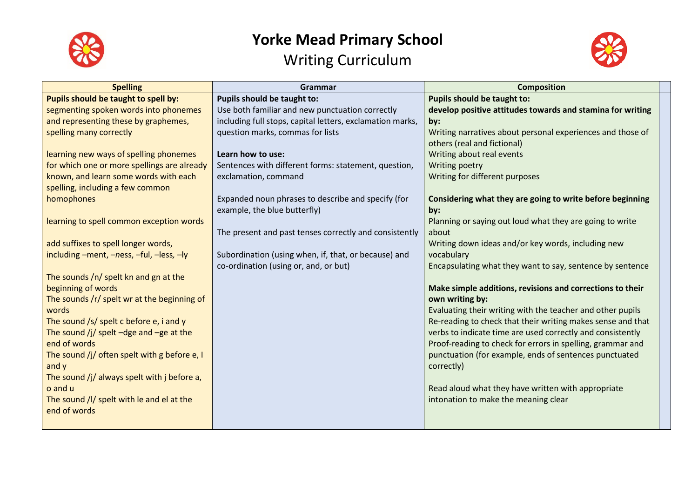



| <b>Spelling</b>                              | Grammar                                                   | <b>Composition</b>                                          |
|----------------------------------------------|-----------------------------------------------------------|-------------------------------------------------------------|
| Pupils should be taught to spell by:         | Pupils should be taught to:                               | Pupils should be taught to:                                 |
| segmenting spoken words into phonemes        | Use both familiar and new punctuation correctly           | develop positive attitudes towards and stamina for writing  |
| and representing these by graphemes,         | including full stops, capital letters, exclamation marks, | by:                                                         |
| spelling many correctly                      | question marks, commas for lists                          | Writing narratives about personal experiences and those of  |
|                                              |                                                           | others (real and fictional)                                 |
| learning new ways of spelling phonemes       | Learn how to use:                                         | Writing about real events                                   |
| for which one or more spellings are already  | Sentences with different forms: statement, question,      | Writing poetry                                              |
| known, and learn some words with each        | exclamation, command                                      | Writing for different purposes                              |
| spelling, including a few common             |                                                           |                                                             |
| homophones                                   | Expanded noun phrases to describe and specify (for        | Considering what they are going to write before beginning   |
|                                              | example, the blue butterfly)                              | by:                                                         |
| learning to spell common exception words     |                                                           | Planning or saying out loud what they are going to write    |
|                                              | The present and past tenses correctly and consistently    | about                                                       |
| add suffixes to spell longer words,          |                                                           | Writing down ideas and/or key words, including new          |
| including -ment, -ness, -ful, -less, -ly     | Subordination (using when, if, that, or because) and      | vocabulary                                                  |
|                                              | co-ordination (using or, and, or but)                     | Encapsulating what they want to say, sentence by sentence   |
| The sounds /n/ spelt kn and gn at the        |                                                           |                                                             |
| beginning of words                           |                                                           | Make simple additions, revisions and corrections to their   |
| The sounds /r/ spelt wr at the beginning of  |                                                           | own writing by:                                             |
| words                                        |                                                           | Evaluating their writing with the teacher and other pupils  |
| The sound /s/ spelt c before $e$ , i and y   |                                                           | Re-reading to check that their writing makes sense and that |
| The sound /j/ spelt $-dge$ and $-ge$ at the  |                                                           | verbs to indicate time are used correctly and consistently  |
| end of words                                 |                                                           | Proof-reading to check for errors in spelling, grammar and  |
| The sound /j/ often spelt with g before e, I |                                                           | punctuation (for example, ends of sentences punctuated      |
| and y                                        |                                                           | correctly)                                                  |
| The sound /j/ always spelt with j before a,  |                                                           |                                                             |
| o and u                                      |                                                           | Read aloud what they have written with appropriate          |
| The sound /l/ spelt with le and el at the    |                                                           | intonation to make the meaning clear                        |
| end of words                                 |                                                           |                                                             |
|                                              |                                                           |                                                             |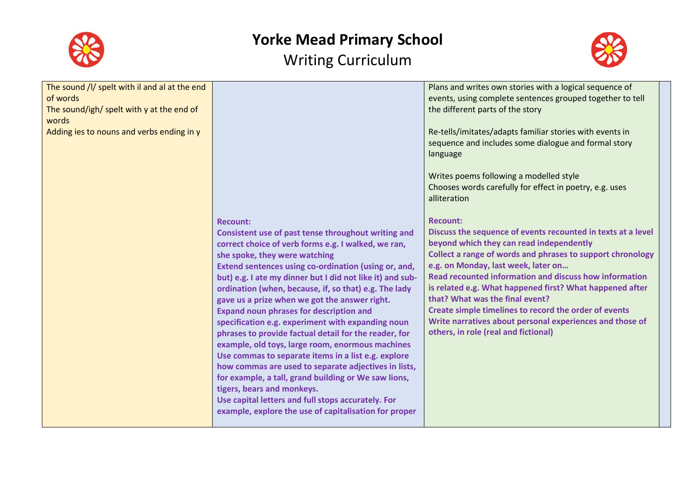



| The sound /l/ spelt with il and al at the end<br>of words<br>The sound/igh/ spelt with y at the end of<br>words<br>Adding ies to nouns and verbs ending in y |                                                                                                                                                                                                                                                                                                                                                                                                                                                                                                                                                                                                                                                                                                                                                                                                                                                                                                                                       | Plans and writes own stories with a logical sequence of<br>events, using complete sentences grouped together to tell<br>the different parts of the story<br>Re-tells/imitates/adapts familiar stories with events in<br>sequence and includes some dialogue and formal story<br>language<br>Writes poems following a modelled style<br>Chooses words carefully for effect in poetry, e.g. uses<br>alliteration                                                                                                                                                |
|--------------------------------------------------------------------------------------------------------------------------------------------------------------|---------------------------------------------------------------------------------------------------------------------------------------------------------------------------------------------------------------------------------------------------------------------------------------------------------------------------------------------------------------------------------------------------------------------------------------------------------------------------------------------------------------------------------------------------------------------------------------------------------------------------------------------------------------------------------------------------------------------------------------------------------------------------------------------------------------------------------------------------------------------------------------------------------------------------------------|---------------------------------------------------------------------------------------------------------------------------------------------------------------------------------------------------------------------------------------------------------------------------------------------------------------------------------------------------------------------------------------------------------------------------------------------------------------------------------------------------------------------------------------------------------------|
|                                                                                                                                                              | <b>Recount:</b><br>Consistent use of past tense throughout writing and<br>correct choice of verb forms e.g. I walked, we ran,<br>she spoke, they were watching<br>Extend sentences using co-ordination (using or, and,<br>but) e.g. I ate my dinner but I did not like it) and sub-<br>ordination (when, because, if, so that) e.g. The lady<br>gave us a prize when we got the answer right.<br><b>Expand noun phrases for description and</b><br>specification e.g. experiment with expanding noun<br>phrases to provide factual detail for the reader, for<br>example, old toys, large room, enormous machines<br>Use commas to separate items in a list e.g. explore<br>how commas are used to separate adjectives in lists,<br>for example, a tall, grand building or We saw lions,<br>tigers, bears and monkeys.<br>Use capital letters and full stops accurately. For<br>example, explore the use of capitalisation for proper | <b>Recount:</b><br>Discuss the sequence of events recounted in texts at a level<br>beyond which they can read independently<br>Collect a range of words and phrases to support chronology<br>e.g. on Monday, last week, later on<br><b>Read recounted information and discuss how information</b><br>is related e.g. What happened first? What happened after<br>that? What was the final event?<br>Create simple timelines to record the order of events<br>Write narratives about personal experiences and those of<br>others, in role (real and fictional) |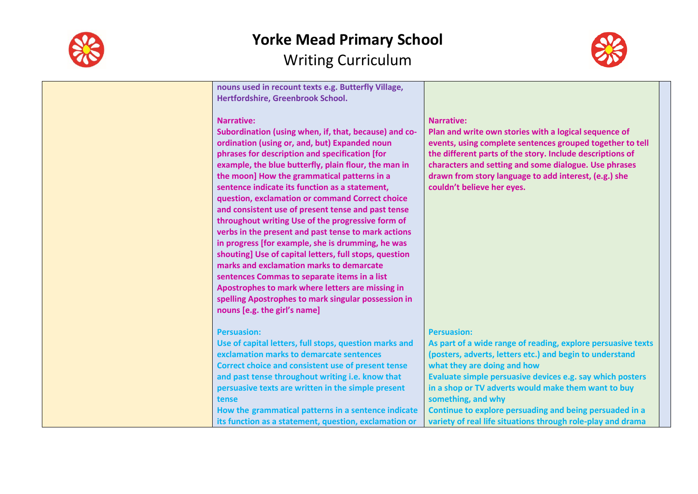

**nouns used in recount texts e.g. Butterfly Village, Hertfordshire, Greenbrook School.**

#### **Narrative:**

**Subordination (using when, if, that, because) and coordination (using or, and, but) Expanded noun phrases for description and specification [for example, the blue butterfly, plain flour, the man in the moon] How the grammatical patterns in a sentence indicate its function as a statement, question, exclamation or command Correct choice and consistent use of present tense and past tense throughout writing Use of the progressive form of verbs in the present and past tense to mark actions in progress [for example, she is drumming, he was shouting] Use of capital letters, full stops, question marks and exclamation marks to demarcate sentences Commas to separate items in a list Apostrophes to mark where letters are missing in spelling Apostrophes to mark singular possession in nouns [e.g. the girl's name]**

#### **Persuasion:**

**Use of capital letters, full stops, question marks and exclamation marks to demarcate sentences Correct choice and consistent use of present tense and past tense throughout writing i.e. know that persuasive texts are written in the simple present tense How the grammatical patterns in a sentence indicate its function as a statement, question, exclamation or** 

#### **Narrative:**

**Plan and write own stories with a logical sequence of events, using complete sentences grouped together to tell the different parts of the story. Include descriptions of characters and setting and some dialogue. Use phrases drawn from story language to add interest, (e.g.) she couldn't believe her eyes.**

#### **Persuasion:**

**As part of a wide range of reading, explore persuasive texts (posters, adverts, letters etc.) and begin to understand what they are doing and how Evaluate simple persuasive devices e.g. say which posters in a shop or TV adverts would make them want to buy something, and why Continue to explore persuading and being persuaded in a variety of real life situations through role-play and drama** 

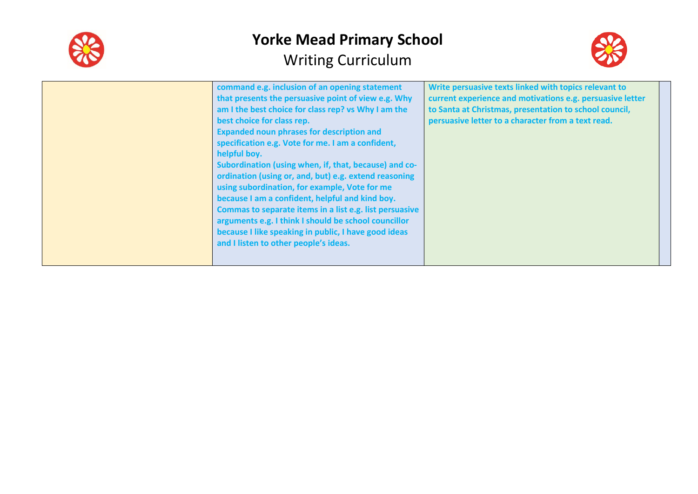



|  | command e.g. inclusion of an opening statement<br>that presents the persuasive point of view e.g. Why<br>am I the best choice for class rep? vs Why I am the<br>best choice for class rep.<br><b>Expanded noun phrases for description and</b><br>specification e.g. Vote for me. I am a confident,<br>helpful boy.<br>Subordination (using when, if, that, because) and co-<br>ordination (using or, and, but) e.g. extend reasoning<br>using subordination, for example, Vote for me<br>because I am a confident, helpful and kind boy.<br>Commas to separate items in a list e.g. list persuasive<br>arguments e.g. I think I should be school councillor<br>because I like speaking in public, I have good ideas<br>and I listen to other people's ideas. | Write persuasive texts linked with topics relevant to<br>current experience and motivations e.g. persuasive letter<br>to Santa at Christmas, presentation to school council,<br>persuasive letter to a character from a text read. |  |
|--|---------------------------------------------------------------------------------------------------------------------------------------------------------------------------------------------------------------------------------------------------------------------------------------------------------------------------------------------------------------------------------------------------------------------------------------------------------------------------------------------------------------------------------------------------------------------------------------------------------------------------------------------------------------------------------------------------------------------------------------------------------------|------------------------------------------------------------------------------------------------------------------------------------------------------------------------------------------------------------------------------------|--|
|--|---------------------------------------------------------------------------------------------------------------------------------------------------------------------------------------------------------------------------------------------------------------------------------------------------------------------------------------------------------------------------------------------------------------------------------------------------------------------------------------------------------------------------------------------------------------------------------------------------------------------------------------------------------------------------------------------------------------------------------------------------------------|------------------------------------------------------------------------------------------------------------------------------------------------------------------------------------------------------------------------------------|--|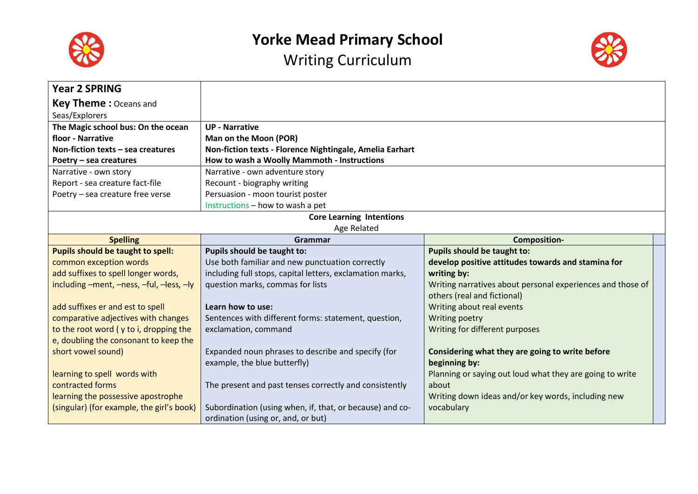

Writing Curriculum



| <b>Year 2 SPRING</b>                      |                                                           |                                                            |  |
|-------------------------------------------|-----------------------------------------------------------|------------------------------------------------------------|--|
| <b>Key Theme: Oceans and</b>              |                                                           |                                                            |  |
| Seas/Explorers                            |                                                           |                                                            |  |
| The Magic school bus: On the ocean        | <b>UP - Narrative</b>                                     |                                                            |  |
| floor - Narrative                         | Man on the Moon (POR)                                     |                                                            |  |
| Non-fiction texts $-$ sea creatures       | Non-fiction texts - Florence Nightingale, Amelia Earhart  |                                                            |  |
| Poetry - sea creatures                    | How to wash a Woolly Mammoth - Instructions               |                                                            |  |
| Narrative - own story                     | Narrative - own adventure story                           |                                                            |  |
| Report - sea creature fact-file           | Recount - biography writing                               |                                                            |  |
| Poetry - sea creature free verse          | Persuasion - moon tourist poster                          |                                                            |  |
|                                           | Instructions - how to wash a pet                          |                                                            |  |
|                                           | <b>Core Learning Intentions</b>                           |                                                            |  |
|                                           | Age Related                                               |                                                            |  |
| <b>Spelling</b>                           | Grammar                                                   | <b>Composition-</b>                                        |  |
| Pupils should be taught to spell:         | Pupils should be taught to:                               | <b>Pupils should be taught to:</b>                         |  |
| common exception words                    | Use both familiar and new punctuation correctly           | develop positive attitudes towards and stamina for         |  |
| add suffixes to spell longer words,       | including full stops, capital letters, exclamation marks, | writing by:                                                |  |
| including -ment, -ness, -ful, -less, -ly  | question marks, commas for lists                          | Writing narratives about personal experiences and those of |  |
|                                           |                                                           | others (real and fictional)                                |  |
| add suffixes er and est to spell          | Learn how to use:                                         | Writing about real events                                  |  |
| comparative adjectives with changes       | Sentences with different forms: statement, question,      | Writing poetry                                             |  |
| to the root word (y to i, dropping the    | exclamation, command                                      | Writing for different purposes                             |  |
| e, doubling the consonant to keep the     |                                                           |                                                            |  |
| short vowel sound)                        | Expanded noun phrases to describe and specify (for        | Considering what they are going to write before            |  |
|                                           | example, the blue butterfly)                              | beginning by:                                              |  |
| learning to spell words with              |                                                           | Planning or saying out loud what they are going to write   |  |
| contracted forms                          | The present and past tenses correctly and consistently    | about                                                      |  |
| learning the possessive apostrophe        |                                                           | Writing down ideas and/or key words, including new         |  |
| (singular) (for example, the girl's book) | Subordination (using when, if, that, or because) and co-  | vocabulary                                                 |  |
|                                           | ordination (using or, and, or but)                        |                                                            |  |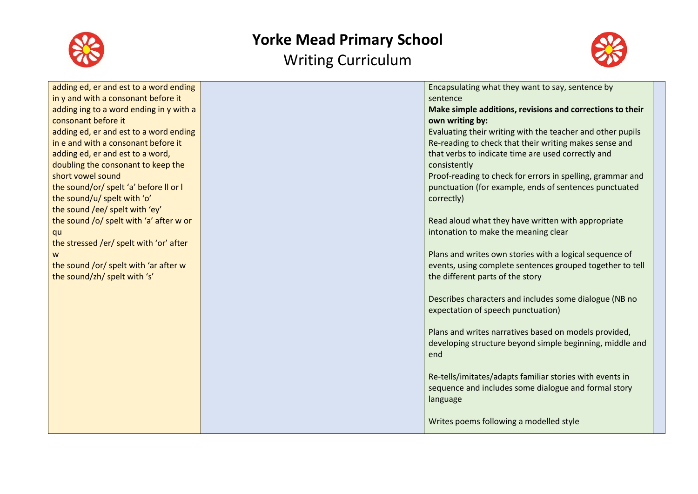



| adding ed, er and est to a word ending  | Encapsulating what they want to say, sentence by           |
|-----------------------------------------|------------------------------------------------------------|
| in y and with a consonant before it     | sentence                                                   |
| adding ing to a word ending in y with a | Make simple additions, revisions and corrections to their  |
| consonant before it                     | own writing by:                                            |
| adding ed, er and est to a word ending  | Evaluating their writing with the teacher and other pupils |
| in e and with a consonant before it     | Re-reading to check that their writing makes sense and     |
| adding ed, er and est to a word,        | that verbs to indicate time are used correctly and         |
| doubling the consonant to keep the      | consistently                                               |
| short vowel sound                       | Proof-reading to check for errors in spelling, grammar and |
| the sound/or/ spelt 'a' before II or I  | punctuation (for example, ends of sentences punctuated     |
| the sound/u/ spelt with 'o'             | correctly)                                                 |
| the sound /ee/ spelt with 'ey'          |                                                            |
| the sound /o/ spelt with 'a' after w or | Read aloud what they have written with appropriate         |
| qu                                      | intonation to make the meaning clear                       |
| the stressed /er/ spelt with 'or' after |                                                            |
| W                                       | Plans and writes own stories with a logical sequence of    |
| the sound /or/ spelt with 'ar after w   | events, using complete sentences grouped together to tell  |
| the sound/zh/ spelt with 's'            | the different parts of the story                           |
|                                         |                                                            |
|                                         | Describes characters and includes some dialogue (NB no     |
|                                         | expectation of speech punctuation)                         |
|                                         |                                                            |
|                                         | Plans and writes narratives based on models provided,      |
|                                         | developing structure beyond simple beginning, middle and   |
|                                         | end                                                        |
|                                         |                                                            |
|                                         | Re-tells/imitates/adapts familiar stories with events in   |
|                                         | sequence and includes some dialogue and formal story       |
|                                         | language                                                   |
|                                         |                                                            |
|                                         | Writes poems following a modelled style                    |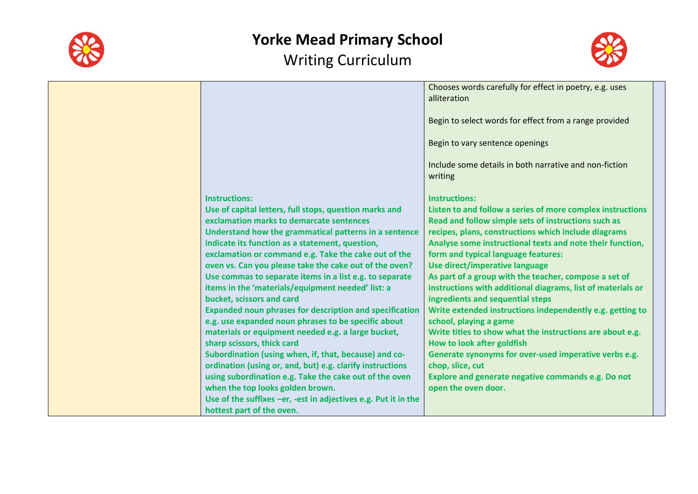



|                                                                                                                       | Chooses words carefully for effect in poetry, e.g. uses<br>alliteration                                              |
|-----------------------------------------------------------------------------------------------------------------------|----------------------------------------------------------------------------------------------------------------------|
|                                                                                                                       | Begin to select words for effect from a range provided                                                               |
|                                                                                                                       | Begin to vary sentence openings                                                                                      |
|                                                                                                                       | Include some details in both narrative and non-fiction<br>writing                                                    |
| <b>Instructions:</b>                                                                                                  | <b>Instructions:</b>                                                                                                 |
| Use of capital letters, full stops, question marks and                                                                | Listen to and follow a series of more complex instructions                                                           |
| exclamation marks to demarcate sentences                                                                              | Read and follow simple sets of instructions such as                                                                  |
| Understand how the grammatical patterns in a sentence                                                                 | recipes, plans, constructions which include diagrams                                                                 |
| indicate its function as a statement, question,                                                                       | Analyse some instructional texts and note their function,                                                            |
| exclamation or command e.g. Take the cake out of the                                                                  | form and typical language features:                                                                                  |
| oven vs. Can you please take the cake out of the oven?                                                                | Use direct/imperative language                                                                                       |
| Use commas to separate items in a list e.g. to separate<br>items in the 'materials/equipment needed' list: a          | As part of a group with the teacher, compose a set of<br>instructions with additional diagrams, list of materials or |
| bucket, scissors and card                                                                                             | ingredients and sequential steps                                                                                     |
| <b>Expanded noun phrases for description and specification</b><br>e.g. use expanded noun phrases to be specific about | Write extended instructions independently e.g. getting to<br>school, playing a game                                  |
| materials or equipment needed e.g. a large bucket,                                                                    | Write titles to show what the instructions are about e.g.                                                            |
| sharp scissors, thick card                                                                                            | How to look after goldfish                                                                                           |
| Subordination (using when, if, that, because) and co-                                                                 | Generate synonyms for over-used imperative verbs e.g.                                                                |
| ordination (using or, and, but) e.g. clarify instructions                                                             | chop, slice, cut                                                                                                     |
| using subordination e.g. Take the cake out of the oven                                                                | Explore and generate negative commands e.g. Do not                                                                   |
| when the top looks golden brown.                                                                                      | open the oven door.                                                                                                  |
| Use of the suffixes -er, -est in adjectives e.g. Put it in the                                                        |                                                                                                                      |
| hottest part of the oven.                                                                                             |                                                                                                                      |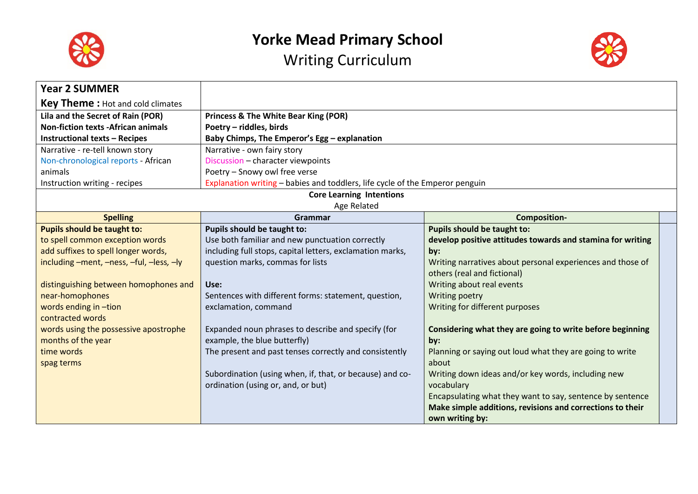

Writing Curriculum



| <b>Year 2 SUMMER</b>                      |                                                                              |                                                            |  |
|-------------------------------------------|------------------------------------------------------------------------------|------------------------------------------------------------|--|
| <b>Key Theme:</b> Hot and cold climates   |                                                                              |                                                            |  |
| Lila and the Secret of Rain (POR)         | <b>Princess &amp; The White Bear King (POR)</b>                              |                                                            |  |
| <b>Non-fiction texts -African animals</b> | Poetry - riddles, birds                                                      |                                                            |  |
| <b>Instructional texts - Recipes</b>      | Baby Chimps, The Emperor's Egg - explanation                                 |                                                            |  |
| Narrative - re-tell known story           | Narrative - own fairy story                                                  |                                                            |  |
| Non-chronological reports - African       | Discussion - character viewpoints                                            |                                                            |  |
| animals                                   | Poetry - Snowy owl free verse                                                |                                                            |  |
| Instruction writing - recipes             | Explanation writing - babies and toddlers, life cycle of the Emperor penguin |                                                            |  |
|                                           | <b>Core Learning Intentions</b>                                              |                                                            |  |
|                                           | Age Related                                                                  |                                                            |  |
| <b>Spelling</b>                           | Grammar                                                                      | <b>Composition-</b>                                        |  |
| Pupils should be taught to:               | Pupils should be taught to:                                                  | Pupils should be taught to:                                |  |
| to spell common exception words           | Use both familiar and new punctuation correctly                              | develop positive attitudes towards and stamina for writing |  |
| add suffixes to spell longer words,       | including full stops, capital letters, exclamation marks,                    | by:                                                        |  |
| including -ment, -ness, -ful, -less, -ly  | question marks, commas for lists                                             | Writing narratives about personal experiences and those of |  |
|                                           |                                                                              | others (real and fictional)                                |  |
| distinguishing between homophones and     | Use:                                                                         | Writing about real events                                  |  |
| near-homophones                           | Sentences with different forms: statement, question,                         | Writing poetry                                             |  |
| words ending in -tion                     | exclamation, command                                                         | Writing for different purposes                             |  |
| contracted words                          |                                                                              |                                                            |  |
| words using the possessive apostrophe     | Expanded noun phrases to describe and specify (for                           | Considering what they are going to write before beginning  |  |
| months of the year                        | example, the blue butterfly)                                                 | by:                                                        |  |
| time words                                | The present and past tenses correctly and consistently                       | Planning or saying out loud what they are going to write   |  |
| spag terms                                |                                                                              | about                                                      |  |
|                                           | Subordination (using when, if, that, or because) and co-                     | Writing down ideas and/or key words, including new         |  |
|                                           | ordination (using or, and, or but)                                           | vocabulary                                                 |  |
|                                           |                                                                              | Encapsulating what they want to say, sentence by sentence  |  |
|                                           |                                                                              | Make simple additions, revisions and corrections to their  |  |
|                                           |                                                                              | own writing by:                                            |  |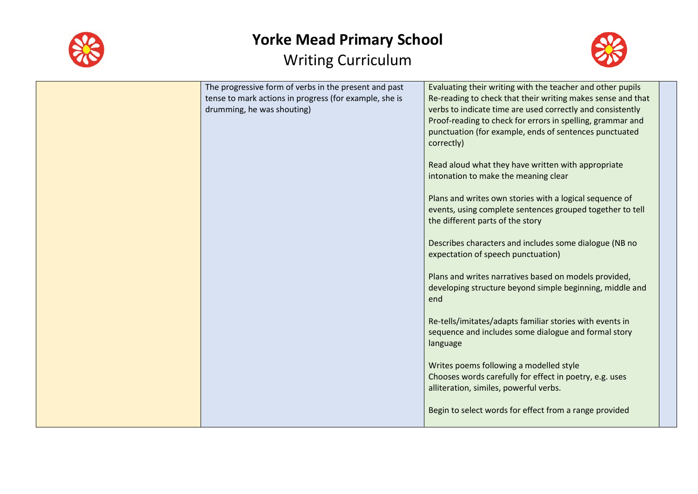



| The progressive form of verbs in the present and past<br>tense to mark actions in progress (for example, she is<br>drumming, he was shouting) | Evaluating their writing with the teacher and other pupils<br>Re-reading to check that their writing makes sense and that<br>verbs to indicate time are used correctly and consistently<br>Proof-reading to check for errors in spelling, grammar and<br>punctuation (for example, ends of sentences punctuated<br>correctly)<br>Read aloud what they have written with appropriate<br>intonation to make the meaning clear<br>Plans and writes own stories with a logical sequence of<br>events, using complete sentences grouped together to tell<br>the different parts of the story<br>Describes characters and includes some dialogue (NB no<br>expectation of speech punctuation)<br>Plans and writes narratives based on models provided,<br>developing structure beyond simple beginning, middle and<br>end<br>Re-tells/imitates/adapts familiar stories with events in<br>sequence and includes some dialogue and formal story<br>language<br>Writes poems following a modelled style<br>Chooses words carefully for effect in poetry, e.g. uses<br>alliteration, similes, powerful verbs. |
|-----------------------------------------------------------------------------------------------------------------------------------------------|-----------------------------------------------------------------------------------------------------------------------------------------------------------------------------------------------------------------------------------------------------------------------------------------------------------------------------------------------------------------------------------------------------------------------------------------------------------------------------------------------------------------------------------------------------------------------------------------------------------------------------------------------------------------------------------------------------------------------------------------------------------------------------------------------------------------------------------------------------------------------------------------------------------------------------------------------------------------------------------------------------------------------------------------------------------------------------------------------------|
|                                                                                                                                               | Begin to select words for effect from a range provided                                                                                                                                                                                                                                                                                                                                                                                                                                                                                                                                                                                                                                                                                                                                                                                                                                                                                                                                                                                                                                              |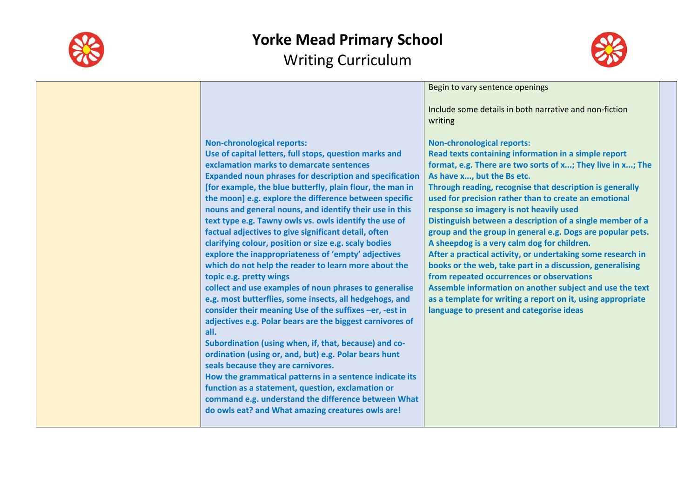



| Include some details in both narrative and non-fiction<br>writing<br><b>Non-chronological reports:</b><br><b>Non-chronological reports:</b><br>Use of capital letters, full stops, question marks and<br>Read texts containing information in a simple report<br>exclamation marks to demarcate sentences<br>format, e.g. There are two sorts of x; They live in x; The<br><b>Expanded noun phrases for description and specification</b><br>As have x, but the Bs etc.<br>[for example, the blue butterfly, plain flour, the man in<br>Through reading, recognise that description is generally<br>the moon] e.g. explore the difference between specific<br>used for precision rather than to create an emotional<br>nouns and general nouns, and identify their use in this<br>response so imagery is not heavily used<br>text type e.g. Tawny owls vs. owls identify the use of<br>Distinguish between a description of a single member of a<br>factual adjectives to give significant detail, often<br>group and the group in general e.g. Dogs are popular pets.<br>A sheepdog is a very calm dog for children.<br>clarifying colour, position or size e.g. scaly bodies<br>explore the inappropriateness of 'empty' adjectives<br>After a practical activity, or undertaking some research in<br>which do not help the reader to learn more about the<br>books or the web, take part in a discussion, generalising<br>from repeated occurrences or observations<br>topic e.g. pretty wings<br>collect and use examples of noun phrases to generalise<br>Assemble information on another subject and use the text<br>e.g. most butterflies, some insects, all hedgehogs, and<br>as a template for writing a report on it, using appropriate<br>consider their meaning Use of the suffixes -er, -est in<br>language to present and categorise ideas<br>adjectives e.g. Polar bears are the biggest carnivores of<br>all.<br>Subordination (using when, if, that, because) and co- |                                                       | Begin to vary sentence openings |
|----------------------------------------------------------------------------------------------------------------------------------------------------------------------------------------------------------------------------------------------------------------------------------------------------------------------------------------------------------------------------------------------------------------------------------------------------------------------------------------------------------------------------------------------------------------------------------------------------------------------------------------------------------------------------------------------------------------------------------------------------------------------------------------------------------------------------------------------------------------------------------------------------------------------------------------------------------------------------------------------------------------------------------------------------------------------------------------------------------------------------------------------------------------------------------------------------------------------------------------------------------------------------------------------------------------------------------------------------------------------------------------------------------------------------------------------------------------------------------------------------------------------------------------------------------------------------------------------------------------------------------------------------------------------------------------------------------------------------------------------------------------------------------------------------------------------------------------------------------------------------------------------------------------------------------------------------------------------------------------|-------------------------------------------------------|---------------------------------|
|                                                                                                                                                                                                                                                                                                                                                                                                                                                                                                                                                                                                                                                                                                                                                                                                                                                                                                                                                                                                                                                                                                                                                                                                                                                                                                                                                                                                                                                                                                                                                                                                                                                                                                                                                                                                                                                                                                                                                                                        |                                                       |                                 |
| seals because they are carnivores.<br>How the grammatical patterns in a sentence indicate its<br>function as a statement, question, exclamation or<br>command e.g. understand the difference between What<br>do owls eat? and What amazing creatures owls are!                                                                                                                                                                                                                                                                                                                                                                                                                                                                                                                                                                                                                                                                                                                                                                                                                                                                                                                                                                                                                                                                                                                                                                                                                                                                                                                                                                                                                                                                                                                                                                                                                                                                                                                         | ordination (using or, and, but) e.g. Polar bears hunt |                                 |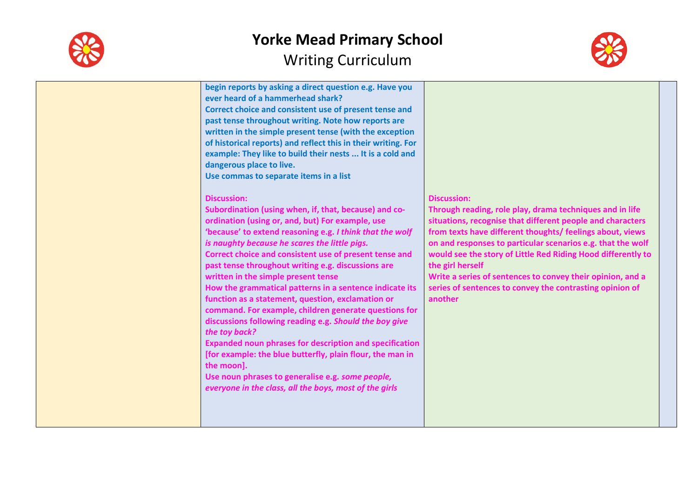



| begin reports by asking a direct question e.g. Have you<br>ever heard of a hammerhead shark?<br>Correct choice and consistent use of present tense and<br>past tense throughout writing. Note how reports are<br>written in the simple present tense (with the exception<br>of historical reports) and reflect this in their writing. For<br>example: They like to build their nests  It is a cold and<br>dangerous place to live.<br>Use commas to separate items in a list                                                                                                                                                                                                                                                                                                                                                                                                                                       |                                                                                                                                                                                                                                                                                                                                                                                                                                                                                                   |
|--------------------------------------------------------------------------------------------------------------------------------------------------------------------------------------------------------------------------------------------------------------------------------------------------------------------------------------------------------------------------------------------------------------------------------------------------------------------------------------------------------------------------------------------------------------------------------------------------------------------------------------------------------------------------------------------------------------------------------------------------------------------------------------------------------------------------------------------------------------------------------------------------------------------|---------------------------------------------------------------------------------------------------------------------------------------------------------------------------------------------------------------------------------------------------------------------------------------------------------------------------------------------------------------------------------------------------------------------------------------------------------------------------------------------------|
| <b>Discussion:</b><br>Subordination (using when, if, that, because) and co-<br>ordination (using or, and, but) For example, use<br>'because' to extend reasoning e.g. I think that the wolf<br>is naughty because he scares the little pigs.<br>Correct choice and consistent use of present tense and<br>past tense throughout writing e.g. discussions are<br>written in the simple present tense<br>How the grammatical patterns in a sentence indicate its<br>function as a statement, question, exclamation or<br>command. For example, children generate questions for<br>discussions following reading e.g. Should the boy give<br>the toy back?<br><b>Expanded noun phrases for description and specification</b><br>[for example: the blue butterfly, plain flour, the man in<br>the moon].<br>Use noun phrases to generalise e.g. some people,<br>everyone in the class, all the boys, most of the girls | <b>Discussion:</b><br>Through reading, role play, drama techniques and in life<br>situations, recognise that different people and characters<br>from texts have different thoughts/ feelings about, views<br>on and responses to particular scenarios e.g. that the wolf<br>would see the story of Little Red Riding Hood differently to<br>the girl herself<br>Write a series of sentences to convey their opinion, and a<br>series of sentences to convey the contrasting opinion of<br>another |